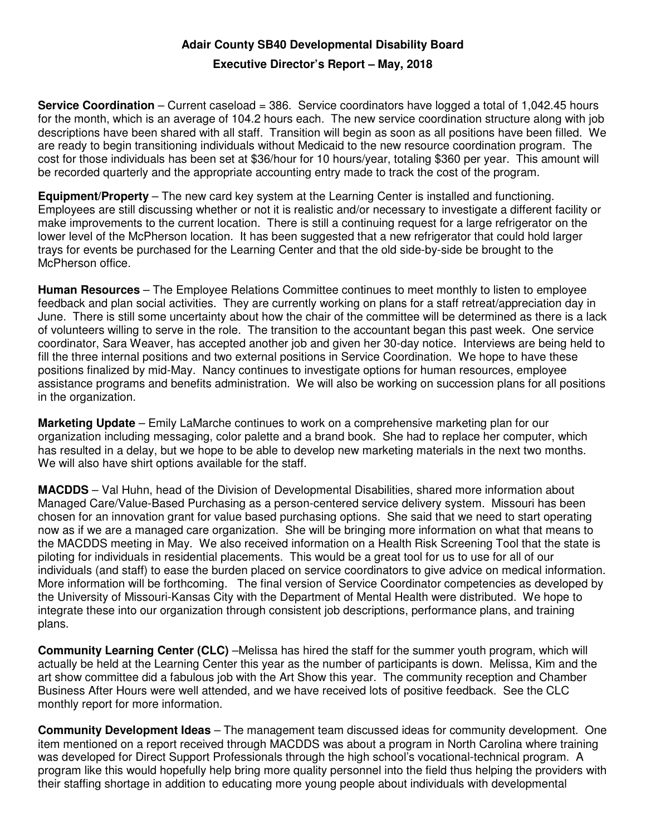## **Adair County SB40 Developmental Disability Board**

## **Executive Director's Report – May, 2018**

**Service Coordination** – Current caseload = 386. Service coordinators have logged a total of 1,042.45 hours for the month, which is an average of 104.2 hours each. The new service coordination structure along with job descriptions have been shared with all staff. Transition will begin as soon as all positions have been filled. We are ready to begin transitioning individuals without Medicaid to the new resource coordination program. The cost for those individuals has been set at \$36/hour for 10 hours/year, totaling \$360 per year. This amount will be recorded quarterly and the appropriate accounting entry made to track the cost of the program.

**Equipment/Property** – The new card key system at the Learning Center is installed and functioning. Employees are still discussing whether or not it is realistic and/or necessary to investigate a different facility or make improvements to the current location. There is still a continuing request for a large refrigerator on the lower level of the McPherson location. It has been suggested that a new refrigerator that could hold larger trays for events be purchased for the Learning Center and that the old side-by-side be brought to the McPherson office.

**Human Resources** – The Employee Relations Committee continues to meet monthly to listen to employee feedback and plan social activities. They are currently working on plans for a staff retreat/appreciation day in June. There is still some uncertainty about how the chair of the committee will be determined as there is a lack of volunteers willing to serve in the role. The transition to the accountant began this past week. One service coordinator, Sara Weaver, has accepted another job and given her 30-day notice. Interviews are being held to fill the three internal positions and two external positions in Service Coordination. We hope to have these positions finalized by mid-May. Nancy continues to investigate options for human resources, employee assistance programs and benefits administration. We will also be working on succession plans for all positions in the organization.

**Marketing Update** – Emily LaMarche continues to work on a comprehensive marketing plan for our organization including messaging, color palette and a brand book. She had to replace her computer, which has resulted in a delay, but we hope to be able to develop new marketing materials in the next two months. We will also have shirt options available for the staff.

**MACDDS** – Val Huhn, head of the Division of Developmental Disabilities, shared more information about Managed Care/Value-Based Purchasing as a person-centered service delivery system. Missouri has been chosen for an innovation grant for value based purchasing options. She said that we need to start operating now as if we are a managed care organization. She will be bringing more information on what that means to the MACDDS meeting in May. We also received information on a Health Risk Screening Tool that the state is piloting for individuals in residential placements. This would be a great tool for us to use for all of our individuals (and staff) to ease the burden placed on service coordinators to give advice on medical information. More information will be forthcoming. The final version of Service Coordinator competencies as developed by the University of Missouri-Kansas City with the Department of Mental Health were distributed. We hope to integrate these into our organization through consistent job descriptions, performance plans, and training plans.

**Community Learning Center (CLC)** –Melissa has hired the staff for the summer youth program, which will actually be held at the Learning Center this year as the number of participants is down. Melissa, Kim and the art show committee did a fabulous job with the Art Show this year. The community reception and Chamber Business After Hours were well attended, and we have received lots of positive feedback. See the CLC monthly report for more information.

**Community Development Ideas** – The management team discussed ideas for community development. One item mentioned on a report received through MACDDS was about a program in North Carolina where training was developed for Direct Support Professionals through the high school's vocational-technical program. A program like this would hopefully help bring more quality personnel into the field thus helping the providers with their staffing shortage in addition to educating more young people about individuals with developmental